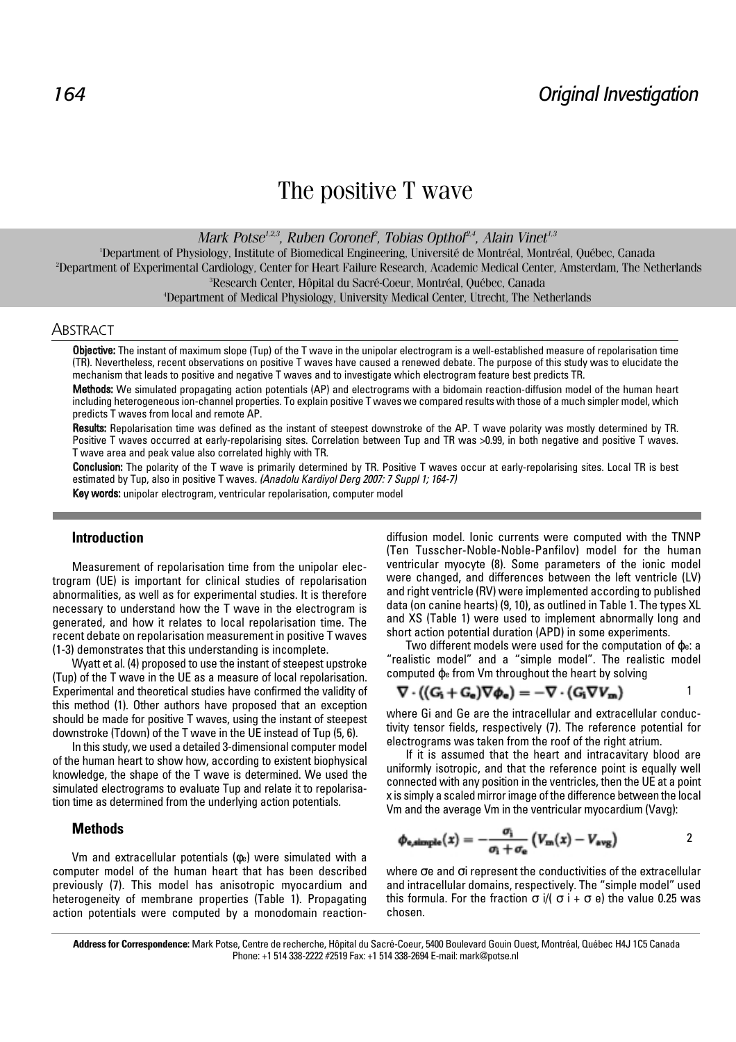# The positive T wave

*Mark Potse1,2,3, Ruben Coronel2 , Tobias Opthof2,4, Alain Vinet1,3* 

1 Department of Physiology, Institute of Biomedical Engineering, Université de Montréal, Montréal, Québec, Canada <sup>2</sup>Department of Experimental Cardiology, Center for Heart Failure Research, Academic Medical Center, Amsterdam, The Netherlands <sup>3</sup><br><sup>3</sup>Pesearch Center, Hêpital du Sagré Cenur, Mentréal, Québec, Canada Research Center, Hôpital du Sacré-Coeur, Montréal, Québec, Canada 4

Department of Medical Physiology, University Medical Center, Utrecht, The Netherlands

#### **ABSTRACT**

Objective: The instant of maximum slope (Tup) of the T wave in the unipolar electrogram is a well-established measure of repolarisation time (TR). Nevertheless, recent observations on positive T waves have caused a renewed debate. The purpose of this study was to elucidate the mechanism that leads to positive and negative T waves and to investigate which electrogram feature best predicts TR.

Methods: We simulated propagating action potentials (AP) and electrograms with a bidomain reaction-diffusion model of the human heart including heterogeneous ion-channel properties. To explain positive T waves we compared results with those of a much simpler model, which predicts T waves from local and remote AP.

Results: Repolarisation time was defined as the instant of steepest downstroke of the AP. T wave polarity was mostly determined by TR. Positive T waves occurred at early-repolarising sites. Correlation between Tup and TR was >0.99, in both negative and positive T waves. T wave area and peak value also correlated highly with TR.

Conclusion: The polarity of the T wave is primarily determined by TR. Positive T waves occur at early-repolarising sites. Local TR is best estimated by Tup, also in positive T waves. (Anadolu Kardiyol Derg 2007: 7 Suppl 1; 164-7) Key words: unipolar electrogram, ventricular repolarisation, computer model

## **Introduction**

Measurement of repolarisation time from the unipolar electrogram (UE) is important for clinical studies of repolarisation abnormalities, as well as for experimental studies. It is therefore necessary to understand how the T wave in the electrogram is generated, and how it relates to local repolarisation time. The recent debate on repolarisation measurement in positive T waves (1-3) demonstrates that this understanding is incomplete.

Wyatt et al. (4) proposed to use the instant of steepest upstroke (Tup) of the T wave in the UE as a measure of local repolarisation. Experimental and theoretical studies have confirmed the validity of this method (1). Other authors have proposed that an exception should be made for positive T waves, using the instant of steepest downstroke (Tdown) of the T wave in the UE instead of Tup (5, 6).

In this study, we used a detailed 3-dimensional computer model of the human heart to show how, according to existent biophysical knowledge, the shape of the T wave is determined. We used the simulated electrograms to evaluate Tup and relate it to repolarisation time as determined from the underlying action potentials.

## **Methods**

Vm and extracellular potentials (φe) were simulated with a computer model of the human heart that has been described previously (7). This model has anisotropic myocardium and heterogeneity of membrane properties (Table 1). Propagating action potentials were computed by a monodomain reactiondiffusion model. Ionic currents were computed with the TNNP (Ten Tusscher-Noble-Noble-Panfilov) model for the human ventricular myocyte (8). Some parameters of the ionic model were changed, and differences between the left ventricle (LV) and right ventricle (RV) were implemented according to published data (on canine hearts) (9, 10), as outlined in Table 1. The types XL and XS (Table 1) were used to implement abnormally long and short action potential duration (APD) in some experiments.

Two different models were used for the computation of ϕe: a "realistic model" and a "simple model". The realistic model computed ϕ<sup>e</sup> from Vm throughout the heart by solving

$$
\nabla \cdot ((G_i + G_e) \nabla \phi_e) = -\nabla \cdot (G_i \nabla V_m)
$$

where Gi and Ge are the intracellular and extracellular conductivity tensor fields, respectively (7). The reference potential for electrograms was taken from the roof of the right atrium.

If it is assumed that the heart and intracavitary blood are uniformly isotropic, and that the reference point is equally well connected with any position in the ventricles, then the UE at a point x is simply a scaled mirror image of the difference between the local Vm and the average Vm in the ventricular myocardium (Vavg):

$$
\phi_{\text{e,simple}}(x) = -\frac{\sigma_{\text{i}}}{\sigma_{\text{i}} + \sigma_{\text{e}}} \left( V_{\text{m}}(x) - V_{\text{avg}} \right) \tag{2}
$$

where σe and σi represent the conductivities of the extracellular and intracellular domains, respectively. The "simple model" used this formula. For the fraction  $σ$  i/ $(σ$  i +  $σ$  e) the value 0.25 was chosen.

**Address for Correspondence:** Mark Potse, Centre de recherche, Hôpital du Sacré-Coeur, 5400 Boulevard Gouin Ouest, Montréal, Québec H4J 1C5 Canada Phone: +1 514 338-2222 #2519 Fax: +1 514 338-2694 E-mail: mark@potse.nl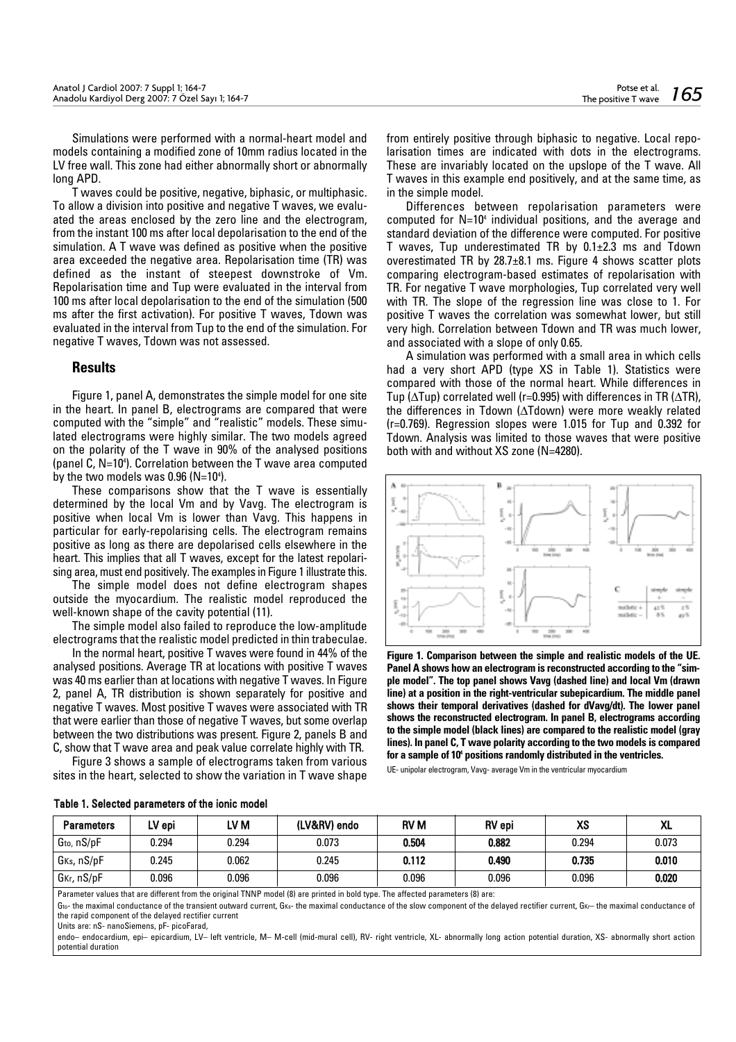Simulations were performed with a normal-heart model and models containing a modified zone of 10mm radius located in the LV free wall. This zone had either abnormally short or abnormally long APD.

T waves could be positive, negative, biphasic, or multiphasic. To allow a division into positive and negative T waves, we evaluated the areas enclosed by the zero line and the electrogram, from the instant 100 ms after local depolarisation to the end of the simulation. A T wave was defined as positive when the positive area exceeded the negative area. Repolarisation time (TR) was defined as the instant of steepest downstroke of Vm. Repolarisation time and Tup were evaluated in the interval from 100 ms after local depolarisation to the end of the simulation (500 ms after the first activation). For positive T waves, Tdown was evaluated in the interval from Tup to the end of the simulation. For negative T waves, Tdown was not assessed.

## **Results**

Figure 1, panel A, demonstrates the simple model for one site in the heart. In panel B, electrograms are compared that were computed with the "simple" and "realistic" models. These simulated electrograms were highly similar. The two models agreed on the polarity of the T wave in 90% of the analysed positions (panel C, N=104 ). Correlation between the T wave area computed by the two models was  $0.96$  (N=10<sup>4</sup>).

These comparisons show that the T wave is essentially determined by the local Vm and by Vavg. The electrogram is positive when local Vm is lower than Vavg. This happens in particular for early-repolarising cells. The electrogram remains positive as long as there are depolarised cells elsewhere in the heart. This implies that all T waves, except for the latest repolarising area, must end positively. The examples in Figure 1 illustrate this.

The simple model does not define electrogram shapes outside the myocardium. The realistic model reproduced the well-known shape of the cavity potential (11).

The simple model also failed to reproduce the low-amplitude electrograms that the realistic model predicted in thin trabeculae.

In the normal heart, positive T waves were found in 44% of the analysed positions. Average TR at locations with positive T waves was 40 ms earlier than at locations with negative T waves. In Figure 2, panel A, TR distribution is shown separately for positive and negative T waves. Most positive T waves were associated with TR that were earlier than those of negative T waves, but some overlap between the two distributions was present. Figure 2, panels B and C, show that T wave area and peak value correlate highly with TR.

Figure 3 shows a sample of electrograms taken from various sites in the heart, selected to show the variation in T wave shape from entirely positive through biphasic to negative. Local repolarisation times are indicated with dots in the electrograms. These are invariably located on the upslope of the T wave. All T waves in this example end positively, and at the same time, as in the simple model.

Differences between repolarisation parameters were computed for N=104 individual positions, and the average and standard deviation of the difference were computed. For positive T waves, Tup underestimated TR by 0.1±2.3 ms and Tdown overestimated TR by 28.7±8.1 ms. Figure 4 shows scatter plots comparing electrogram-based estimates of repolarisation with TR. For negative T wave morphologies, Tup correlated very well with TR. The slope of the regression line was close to 1. For positive T waves the correlation was somewhat lower, but still very high. Correlation between Tdown and TR was much lower, and associated with a slope of only 0.65.

A simulation was performed with a small area in which cells had a very short APD (type XS in Table 1). Statistics were compared with those of the normal heart. While differences in Tup (∆Tup) correlated well (r=0.995) with differences in TR (∆TR), the differences in Tdown (∆Tdown) were more weakly related (r=0.769). Regression slopes were 1.015 for Tup and 0.392 for Tdown. Analysis was limited to those waves that were positive both with and without XS zone (N=4280).



**Figure 1. Comparison between the simple and realistic models of the UE. Panel A shows how an electrogram is reconstructed according to the "simple model". The top panel shows Vavg (dashed line) and local Vm (drawn line) at a position in the right-ventricular subepicardium. The middle panel shows their temporal derivatives (dashed for dVavg/dt). The lower panel shows the reconstructed electrogram. In panel B, electrograms according to the simple model (black lines) are compared to the realistic model (gray lines). In panel C, T wave polarity according to the two models is compared for a sample of 104 positions randomly distributed in the ventricles.**

UE- unipolar electrogram, Vavg- average Vm in the ventricular myocardium

|  |  |  |  | Table 1. Selected parameters of the ionic model |
|--|--|--|--|-------------------------------------------------|
|--|--|--|--|-------------------------------------------------|

| Parameters                           | LV epi | LV M  | (LV&RV) endo | <b>RVM</b> | RV epi | XS    | vı<br>ЛL |
|--------------------------------------|--------|-------|--------------|------------|--------|-------|----------|
| Gto, nS/pF                           | 0.294  | 0.294 | 0.073        | 0.504      | 0.882  | 0.294 | 0.073    |
| G <sub>Ks</sub> , nS/pF              | 0.245  | 0.062 | 0.245        | 0.112      | 0.490  | 0.735 | 0.010    |
| G <sub>Kr</sub> , n <sub>S</sub> /pF | 0.096  | 0.096 | 0.096        | 0.096      | 0.096  | 0.096 | 0.020    |

Parameter values that are different from the original TNNP model (8) are printed in bold type. The affected parameters (8) are:

 $G_{\text{to}}$  the maximal conductance of the transient outward current. G<sub>Ks</sub>- the maximal conductance of the slow component of the delayed rectifier current. G<sub>K</sub>- the maximal conductance of the rapid component of the delayed rectifier current

Units are: nS- nanoSiemens, pF- picoFarad,

endo– endocardium, epi– epicardium, LV– left ventricle, M– M-cell (mid-mural cell), RV- right ventricle, XL- abnormally long action potential duration, XS- abnormally short action potential duration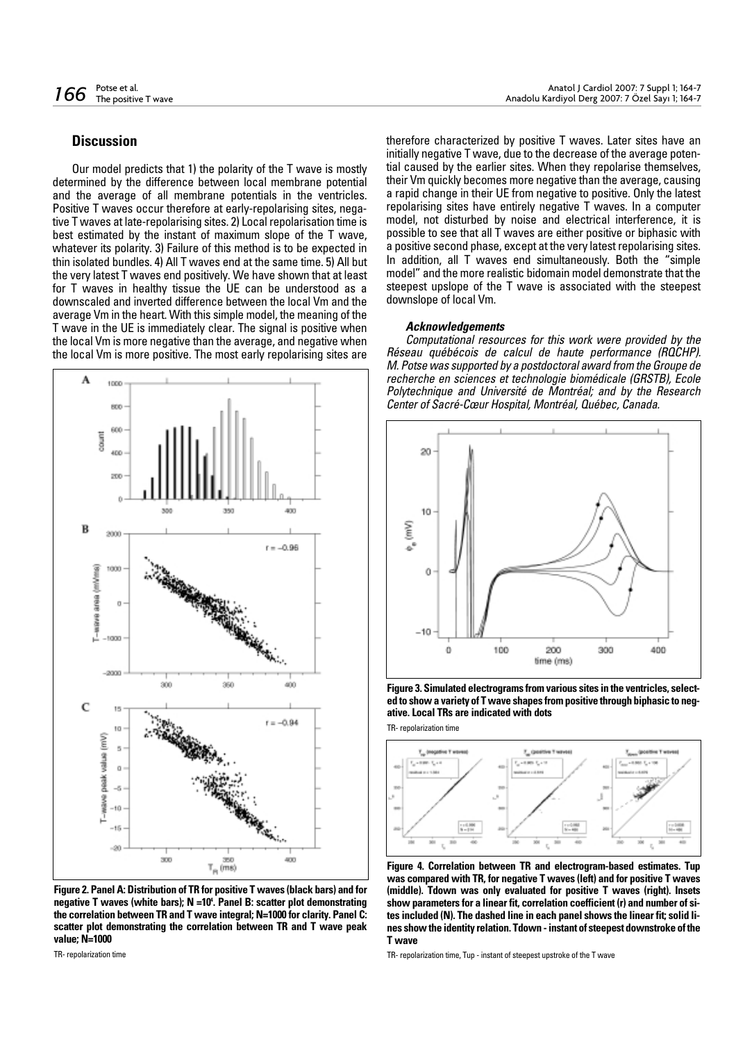# **Discussion**

Our model predicts that 1) the polarity of the T wave is mostly determined by the difference between local membrane potential and the average of all membrane potentials in the ventricles. Positive T waves occur therefore at early-repolarising sites, negative T waves at late-repolarising sites. 2) Local repolarisation time is best estimated by the instant of maximum slope of the T wave, whatever its polarity. 3) Failure of this method is to be expected in thin isolated bundles. 4) All T waves end at the same time. 5) All but the very latest T waves end positively. We have shown that at least for T waves in healthy tissue the UE can be understood as a downscaled and inverted difference between the local Vm and the average Vm in the heart. With this simple model, the meaning of the T wave in the UE is immediately clear. The signal is positive when the local Vm is more negative than the average, and negative when the local Vm is more positive. The most early repolarising sites are



**Figure 2. Panel A: Distribution of TR for positive T waves (black bars) and for negative T waves (white bars); N =104 . Panel B: scatter plot demonstrating the correlation between TR and T wave integral; N=1000 for clarity. Panel C: scatter plot demonstrating the correlation between TR and T wave peak value; N=1000**

TR- repolarization time

therefore characterized by positive T waves. Later sites have an initially negative T wave, due to the decrease of the average potential caused by the earlier sites. When they repolarise themselves, their Vm quickly becomes more negative than the average, causing a rapid change in their UE from negative to positive. Only the latest repolarising sites have entirely negative T waves. In a computer model, not disturbed by noise and electrical interference, it is possible to see that all T waves are either positive or biphasic with a positive second phase, except at the very latest repolarising sites. In addition, all T waves end simultaneously. Both the "simple model" and the more realistic bidomain model demonstrate that the steepest upslope of the T wave is associated with the steepest downslope of local Vm.

#### **Acknowledgements**

Computational resources for this work were provided by the Réseau québécois de calcul de haute performance (RQCHP). M. Potse was supported by a postdoctoral award from the Groupe de recherche en sciences et technologie biomédicale (GRSTB), Ecole Polytechnique and Université de Montréal; and by the Research Center of Sacré-Cœur Hospital, Montréal, Québec, Canada.



**Figure 3. Simulated electrograms from various sites in the ventricles, selected to show a variety of T wave shapes from positive through biphasic to negative. Local TRs are indicated with dots**

TR- repolarization time



**Figure 4. Correlation between TR and electrogram-based estimates. Tup was compared with TR, for negative T waves (left) and for positive T waves (middle). Tdown was only evaluated for positive T waves (right). Insets show parameters for a linear fit, correlation coefficient (r) and number of sites included (N). The dashed line in each panel shows the linear fit; solid lines show the identity relation. Tdown - instant of steepest downstroke of the T wave**